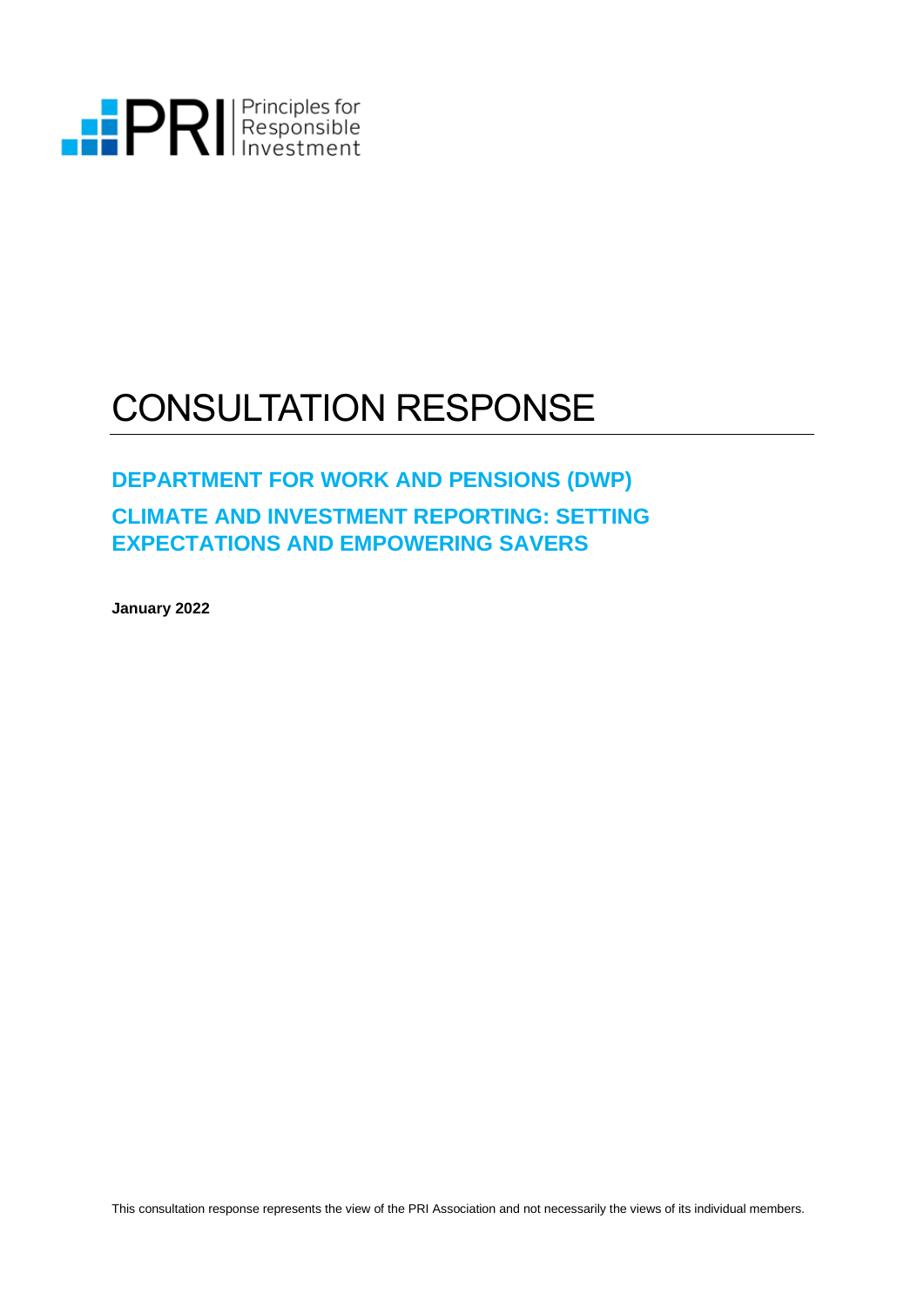

# CONSULTATION RESPONSE

### **DEPARTMENT FOR WORK AND PENSIONS (DWP)**

### **CLIMATE AND INVESTMENT REPORTING: SETTING EXPECTATIONS AND EMPOWERING SAVERS**

**January 2022**

This consultation response represents the view of the PRI Association and not necessarily the views of its individual members.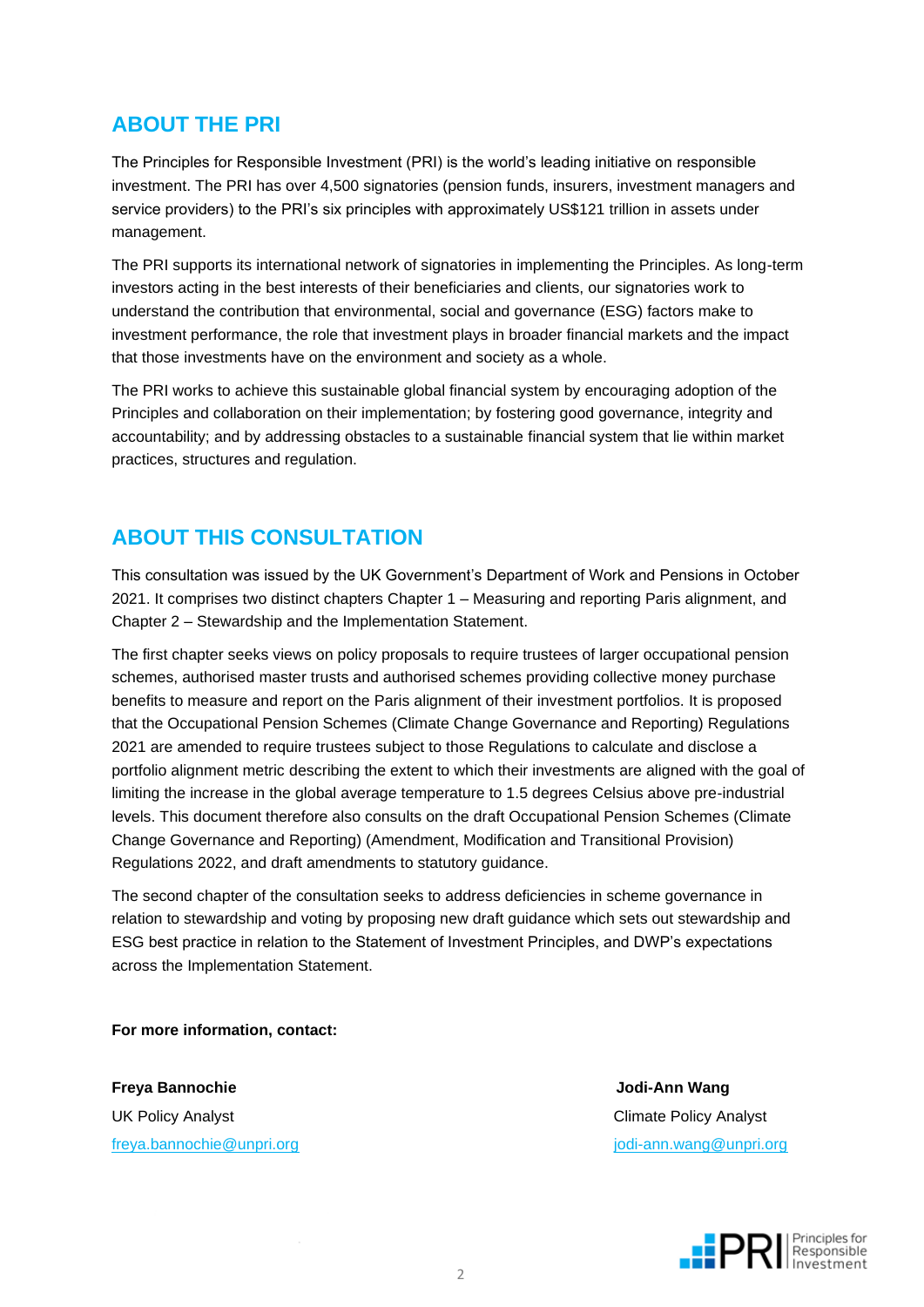### **ABOUT THE PRI**

The Principles for Responsible Investment (PRI) is the world's leading initiative on responsible investment. The PRI has over 4,500 signatories (pension funds, insurers, investment managers and service providers) to the PRI's six principles with approximately US\$121 trillion in assets under management.

The PRI supports its international network of signatories in implementing the Principles. As long-term investors acting in the best interests of their beneficiaries and clients, our signatories work to understand the contribution that environmental, social and governance (ESG) factors make to investment performance, the role that investment plays in broader financial markets and the impact that those investments have on the environment and society as a whole.

The PRI works to achieve this sustainable global financial system by encouraging adoption of the Principles and collaboration on their implementation; by fostering good governance, integrity and accountability; and by addressing obstacles to a sustainable financial system that lie within market practices, structures and regulation.

### **ABOUT THIS CONSULTATION**

This consultation was issued by the UK Government's Department of Work and Pensions in October 2021. It comprises two distinct chapters Chapter 1 – Measuring and reporting Paris alignment, and Chapter 2 – Stewardship and the Implementation Statement.

The first chapter seeks views on policy proposals to require trustees of larger occupational pension schemes, authorised master trusts and authorised schemes providing collective money purchase benefits to measure and report on the Paris alignment of their investment portfolios. It is proposed that the Occupational Pension Schemes (Climate Change Governance and Reporting) Regulations 2021 are amended to require trustees subject to those Regulations to calculate and disclose a portfolio alignment metric describing the extent to which their investments are aligned with the goal of limiting the increase in the global average temperature to 1.5 degrees Celsius above pre-industrial levels. This document therefore also consults on the draft Occupational Pension Schemes (Climate Change Governance and Reporting) (Amendment, Modification and Transitional Provision) Regulations 2022, and draft amendments to statutory guidance.

The second chapter of the consultation seeks to address deficiencies in scheme governance in relation to stewardship and voting by proposing new draft guidance which sets out stewardship and ESG best practice in relation to the Statement of Investment Principles, and DWP's expectations across the Implementation Statement.

**For more information, contact:**

**Freya Bannochie Jodi-Ann Wang** UK Policy Analyst Climate Policy Analyst [freya.bannochie@unpri.org](mailto:freya.bannochie@unpri.org) is a control of the state of the state of the state of the state of the state of the state of the state of the state of the state of the state of the state of the state of the state of the state o

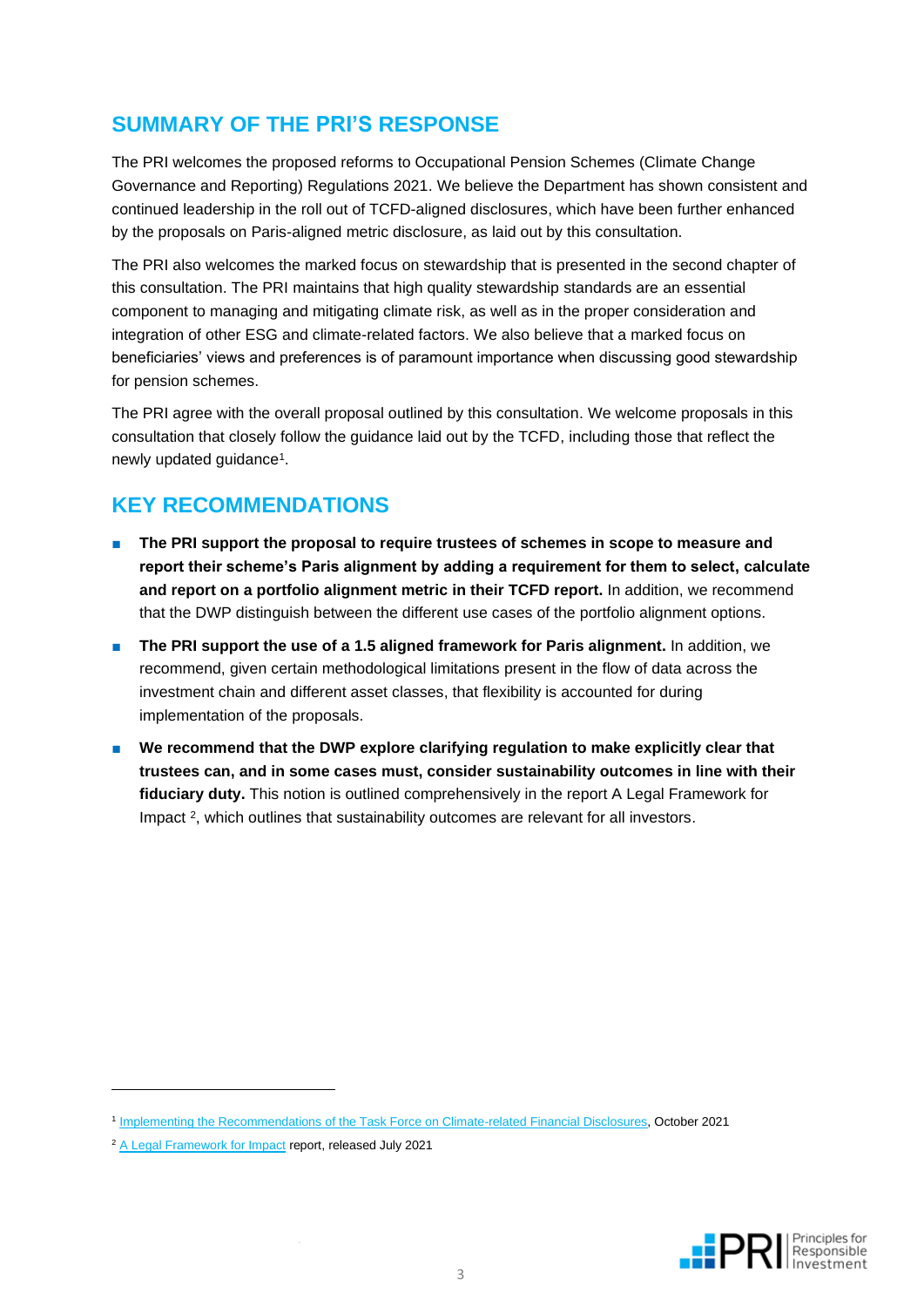### **SUMMARY OF THE PRI'S RESPONSE**

The PRI welcomes the proposed reforms to Occupational Pension Schemes (Climate Change Governance and Reporting) Regulations 2021. We believe the Department has shown consistent and continued leadership in the roll out of TCFD-aligned disclosures, which have been further enhanced by the proposals on Paris-aligned metric disclosure, as laid out by this consultation.

The PRI also welcomes the marked focus on stewardship that is presented in the second chapter of this consultation. The PRI maintains that high quality stewardship standards are an essential component to managing and mitigating climate risk, as well as in the proper consideration and integration of other ESG and climate-related factors. We also believe that a marked focus on beneficiaries' views and preferences is of paramount importance when discussing good stewardship for pension schemes.

The PRI agree with the overall proposal outlined by this consultation. We welcome proposals in this consultation that closely follow the guidance laid out by the TCFD, including those that reflect the newly updated guidance<sup>1</sup>.

### **KEY RECOMMENDATIONS**

- The PRI support the proposal to require trustees of schemes in scope to measure and **report their scheme's Paris alignment by adding a requirement for them to select, calculate and report on a portfolio alignment metric in their TCFD report.** In addition, we recommend that the DWP distinguish between the different use cases of the portfolio alignment options.
- The PRI support the use of a 1.5 aligned framework for Paris alignment. In addition, we recommend, given certain methodological limitations present in the flow of data across the investment chain and different asset classes, that flexibility is accounted for during implementation of the proposals.
- We recommend that the DWP explore clarifying regulation to make explicitly clear that **trustees can, and in some cases must, consider sustainability outcomes in line with their fiduciary duty.** This notion is outlined comprehensively in the report A Legal Framework for Impact<sup>2</sup>, which outlines that sustainability outcomes are relevant for all investors.



<sup>1</sup> [Implementing the Recommendations of the Task Force on Climate-related Financial Disclosures,](https://assets.bbhub.io/company/sites/60/2021/07/2021-TCFD-Implementing_Guidance.pdf) October 2021

<sup>&</sup>lt;sup>2</sup> [A Legal Framework for Impact](https://www.unpri.org/download?ac=13902) report, released July 2021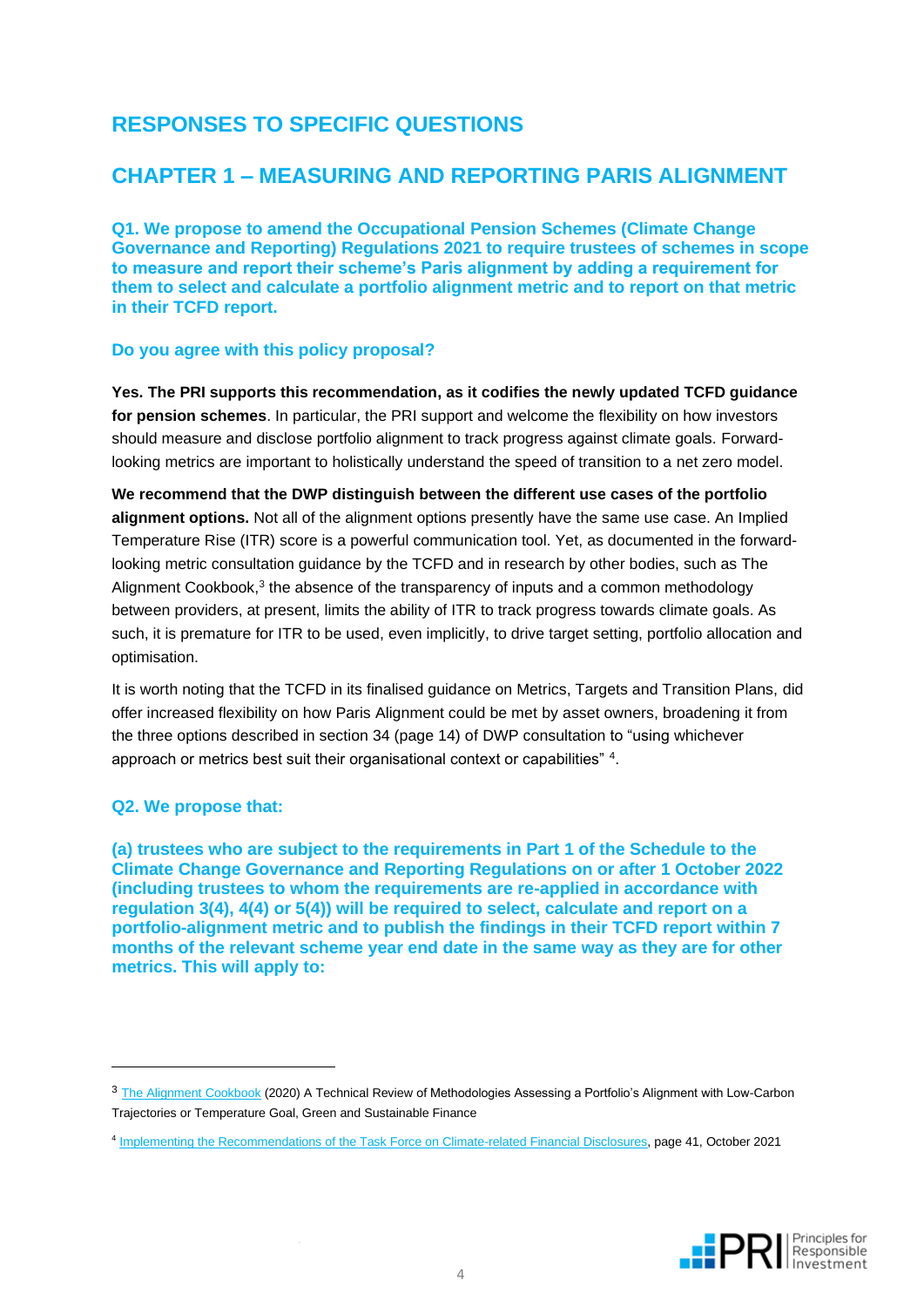### **RESPONSES TO SPECIFIC QUESTIONS**

### **CHAPTER 1 – MEASURING AND REPORTING PARIS ALIGNMENT**

**Q1. We propose to amend the Occupational Pension Schemes (Climate Change Governance and Reporting) Regulations 2021 to require trustees of schemes in scope to measure and report their scheme's Paris alignment by adding a requirement for them to select and calculate a portfolio alignment metric and to report on that metric in their TCFD report.**

#### **Do you agree with this policy proposal?**

**Yes. The PRI supports this recommendation, as it codifies the newly updated TCFD guidance for pension schemes**. In particular, the PRI support and welcome the flexibility on how investors should measure and disclose portfolio alignment to track progress against climate goals. Forwardlooking metrics are important to holistically understand the speed of transition to a net zero model.

**We recommend that the DWP distinguish between the different use cases of the portfolio alignment options.** Not all of the alignment options presently have the same use case. An Implied Temperature Rise (ITR) score is a powerful communication tool. Yet, as documented in the forwardlooking metric consultation guidance by the TCFD and in research by other bodies, such as The Alignment Cookbook,<sup>3</sup> the absence of the transparency of inputs and a common methodology between providers, at present, limits the ability of ITR to track progress towards climate goals. As such, it is premature for ITR to be used, even implicitly, to drive target setting, portfolio allocation and optimisation.

It is worth noting that the TCFD in its finalised guidance on Metrics, Targets and Transition Plans, did offer increased flexibility on how Paris Alignment could be met by asset owners, broadening it from the three options described in section 34 (page 14) of DWP consultation to "using whichever approach or metrics best suit their organisational context or capabilities" 4.

#### **Q2. We propose that:**

**(a) trustees who are subject to the requirements in Part 1 of the Schedule to the Climate Change Governance and Reporting Regulations on or after 1 October 2022 (including trustees to whom the requirements are re-applied in accordance with regulation 3(4), 4(4) or 5(4)) will be required to select, calculate and report on a portfolio-alignment metric and to publish the findings in their TCFD report within 7 months of the relevant scheme year end date in the same way as they are for other metrics. This will apply to:**



<sup>&</sup>lt;sup>3</sup> [The Alignment Cookbook](https://gsf.institutlouisbachelier.org/publication/the-alignment-cookbook-a-technical-review-of-methodologies-assessing-a-portfolios-alignment-with-low-carbon-trajectories-or-temperature-goal/) (2020) A Technical Review of Methodologies Assessing a Portfolio's Alignment with Low-Carbon Trajectories or Temperature Goal, Green and Sustainable Finance

<sup>4</sup> [Implementing the Recommendations of the Task Force on Climate-related Financial Disclosures,](https://assets.bbhub.io/company/sites/60/2021/07/2021-TCFD-Implementing_Guidance.pdf) page 41, October 2021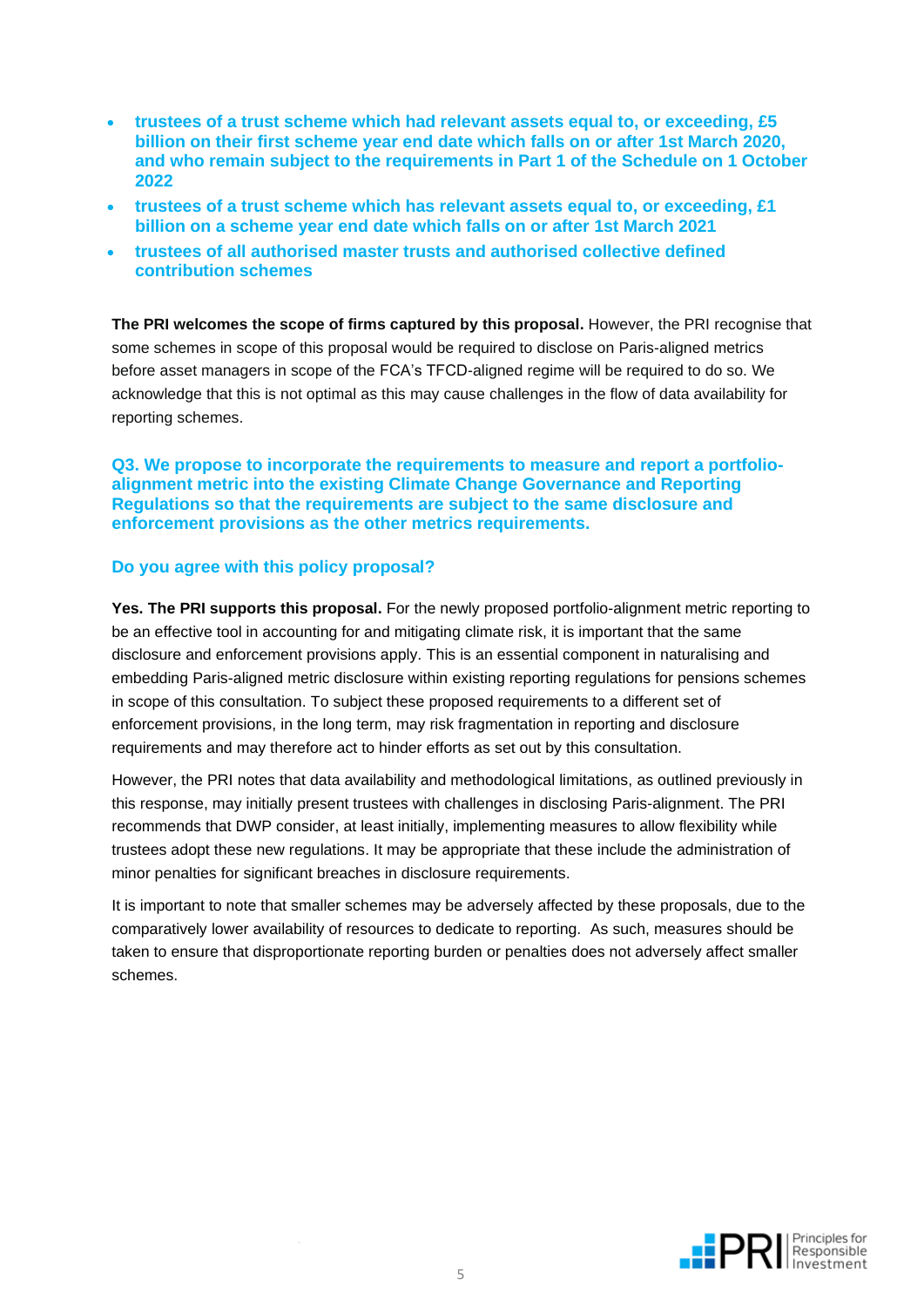- **trustees of a trust scheme which had relevant assets equal to, or exceeding, £5 billion on their first scheme year end date which falls on or after 1st March 2020, and who remain subject to the requirements in Part 1 of the Schedule on 1 October 2022**
- **trustees of a trust scheme which has relevant assets equal to, or exceeding, £1 billion on a scheme year end date which falls on or after 1st March 2021**
- **trustees of all authorised master trusts and authorised collective defined contribution schemes**

**The PRI welcomes the scope of firms captured by this proposal.** However, the PRI recognise that some schemes in scope of this proposal would be required to disclose on Paris-aligned metrics before asset managers in scope of the FCA's TFCD-aligned regime will be required to do so. We acknowledge that this is not optimal as this may cause challenges in the flow of data availability for reporting schemes.

**Q3. We propose to incorporate the requirements to measure and report a portfolioalignment metric into the existing Climate Change Governance and Reporting Regulations so that the requirements are subject to the same disclosure and enforcement provisions as the other metrics requirements.**

#### **Do you agree with this policy proposal?**

**Yes. The PRI supports this proposal.** For the newly proposed portfolio-alignment metric reporting to be an effective tool in accounting for and mitigating climate risk, it is important that the same disclosure and enforcement provisions apply. This is an essential component in naturalising and embedding Paris-aligned metric disclosure within existing reporting regulations for pensions schemes in scope of this consultation. To subject these proposed requirements to a different set of enforcement provisions, in the long term, may risk fragmentation in reporting and disclosure requirements and may therefore act to hinder efforts as set out by this consultation.

However, the PRI notes that data availability and methodological limitations, as outlined previously in this response, may initially present trustees with challenges in disclosing Paris-alignment. The PRI recommends that DWP consider, at least initially, implementing measures to allow flexibility while trustees adopt these new regulations. It may be appropriate that these include the administration of minor penalties for significant breaches in disclosure requirements.

It is important to note that smaller schemes may be adversely affected by these proposals, due to the comparatively lower availability of resources to dedicate to reporting. As such, measures should be taken to ensure that disproportionate reporting burden or penalties does not adversely affect smaller schemes.

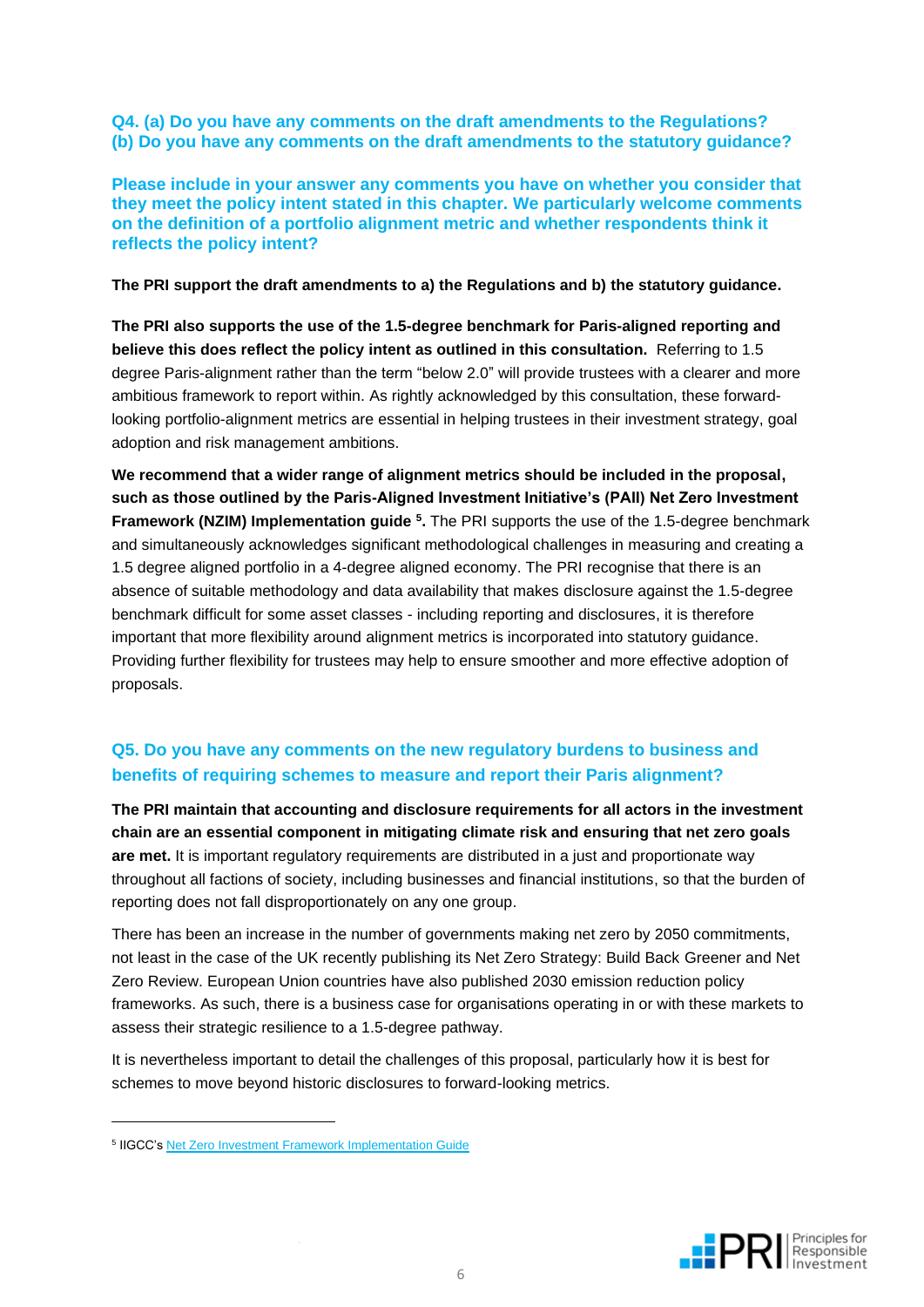**Q4. (a) Do you have any comments on the draft amendments to the Regulations? (b) Do you have any comments on the draft amendments to the statutory guidance?**

**Please include in your answer any comments you have on whether you consider that they meet the policy intent stated in this chapter. We particularly welcome comments on the definition of a portfolio alignment metric and whether respondents think it reflects the policy intent?**

**The PRI support the draft amendments to a) the Regulations and b) the statutory guidance.**

**The PRI also supports the use of the 1.5-degree benchmark for Paris-aligned reporting and believe this does reflect the policy intent as outlined in this consultation.** Referring to 1.5 degree Paris-alignment rather than the term "below 2.0" will provide trustees with a clearer and more ambitious framework to report within. As rightly acknowledged by this consultation, these forwardlooking portfolio-alignment metrics are essential in helping trustees in their investment strategy, goal adoption and risk management ambitions.

**We recommend that a wider range of alignment metrics should be included in the proposal, such as those outlined by the Paris-Aligned Investment Initiative's (PAII) Net Zero Investment Framework (NZIM) Implementation guide <sup>5</sup>. The PRI supports the use of the 1.5-degree benchmark** and simultaneously acknowledges significant methodological challenges in measuring and creating a 1.5 degree aligned portfolio in a 4-degree aligned economy. The PRI recognise that there is an absence of suitable methodology and data availability that makes disclosure against the 1.5-degree benchmark difficult for some asset classes - including reporting and disclosures, it is therefore important that more flexibility around alignment metrics is incorporated into statutory guidance. Providing further flexibility for trustees may help to ensure smoother and more effective adoption of proposals.

### **Q5. Do you have any comments on the new regulatory burdens to business and benefits of requiring schemes to measure and report their Paris alignment?**

**The PRI maintain that accounting and disclosure requirements for all actors in the investment chain are an essential component in mitigating climate risk and ensuring that net zero goals are met.** It is important regulatory requirements are distributed in a just and proportionate way throughout all factions of society, including businesses and financial institutions, so that the burden of reporting does not fall disproportionately on any one group.

There has been an increase in the number of governments making net zero by 2050 commitments, not least in the case of the UK recently publishing its Net Zero Strategy: Build Back Greener and Net Zero Review. European Union countries have also published 2030 emission reduction policy frameworks. As such, there is a business case for organisations operating in or with these markets to assess their strategic resilience to a 1.5-degree pathway.

It is nevertheless important to detail the challenges of this proposal, particularly how it is best for schemes to move beyond historic disclosures to forward-looking metrics.



<sup>&</sup>lt;sup>5</sup> IIGCC'[s Net Zero Investment Framework Implementation Guide](https://www.iigcc.org/resource/net-zero-investment-framework-implementation-guide/)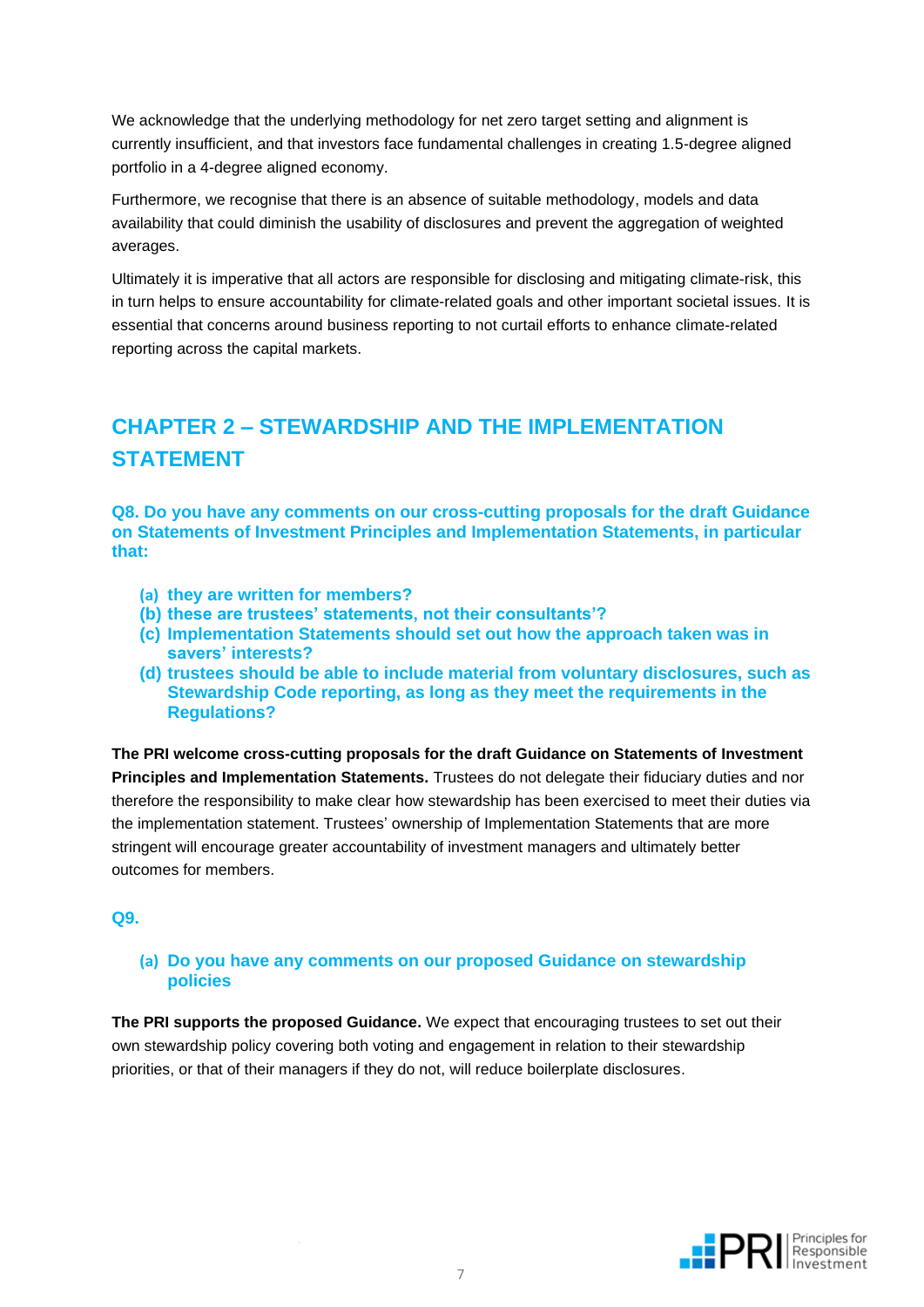We acknowledge that the underlying methodology for net zero target setting and alignment is currently insufficient, and that investors face fundamental challenges in creating 1.5-degree aligned portfolio in a 4-degree aligned economy.

Furthermore, we recognise that there is an absence of suitable methodology, models and data availability that could diminish the usability of disclosures and prevent the aggregation of weighted averages.

Ultimately it is imperative that all actors are responsible for disclosing and mitigating climate-risk, this in turn helps to ensure accountability for climate-related goals and other important societal issues. It is essential that concerns around business reporting to not curtail efforts to enhance climate-related reporting across the capital markets.

## **CHAPTER 2 – STEWARDSHIP AND THE IMPLEMENTATION STATEMENT**

**Q8. Do you have any comments on our cross-cutting proposals for the draft Guidance on Statements of Investment Principles and Implementation Statements, in particular that:**

- **(a) they are written for members?**
- **(b) these are trustees' statements, not their consultants'?**
- **(c) Implementation Statements should set out how the approach taken was in savers' interests?**
- **(d) trustees should be able to include material from voluntary disclosures, such as Stewardship Code reporting, as long as they meet the requirements in the Regulations?**

**The PRI welcome cross-cutting proposals for the draft Guidance on Statements of Investment Principles and Implementation Statements.** Trustees do not delegate their fiduciary duties and nor therefore the responsibility to make clear how stewardship has been exercised to meet their duties via the implementation statement. Trustees' ownership of Implementation Statements that are more stringent will encourage greater accountability of investment managers and ultimately better outcomes for members.

#### **Q9.**

#### **(a) Do you have any comments on our proposed Guidance on stewardship policies**

**The PRI supports the proposed Guidance.** We expect that encouraging trustees to set out their own stewardship policy covering both voting and engagement in relation to their stewardship priorities, or that of their managers if they do not, will reduce boilerplate disclosures.

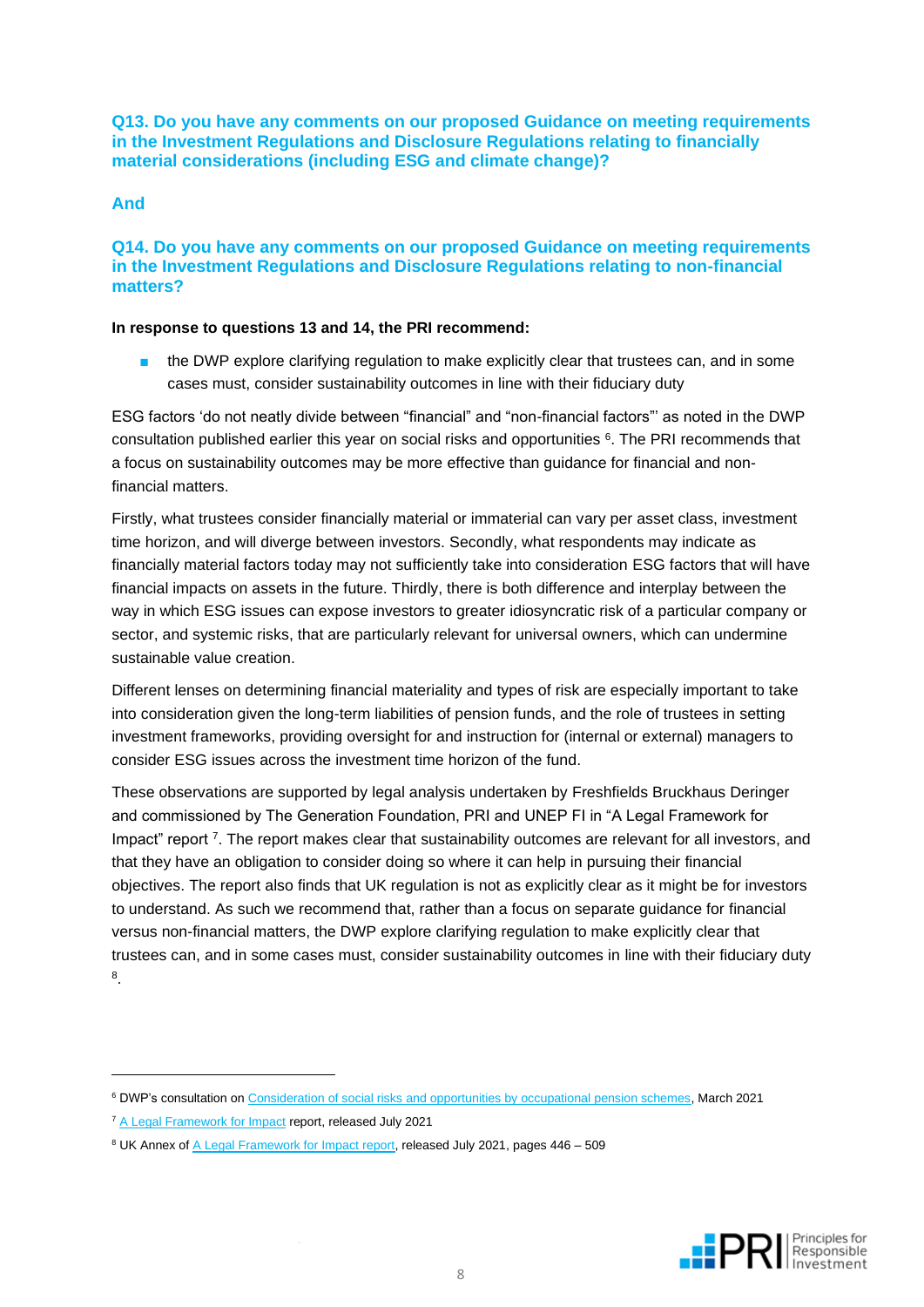**Q13. Do you have any comments on our proposed Guidance on meeting requirements in the Investment Regulations and Disclosure Regulations relating to financially material considerations (including ESG and climate change)?**

#### **And**

#### **Q14. Do you have any comments on our proposed Guidance on meeting requirements in the Investment Regulations and Disclosure Regulations relating to non-financial matters?**

#### **In response to questions 13 and 14, the PRI recommend:**

the DWP explore clarifying regulation to make explicitly clear that trustees can, and in some cases must, consider sustainability outcomes in line with their fiduciary duty

ESG factors 'do not neatly divide between "financial" and "non-financial factors"' as noted in the DWP consultation published earlier this year on social risks and opportunities  $6$ . The PRI recommends that a focus on sustainability outcomes may be more effective than guidance for financial and nonfinancial matters.

Firstly, what trustees consider financially material or immaterial can vary per asset class, investment time horizon, and will diverge between investors. Secondly, what respondents may indicate as financially material factors today may not sufficiently take into consideration ESG factors that will have financial impacts on assets in the future. Thirdly, there is both difference and interplay between the way in which ESG issues can expose investors to greater idiosyncratic risk of a particular company or sector, and systemic risks, that are particularly relevant for universal owners, which can undermine sustainable value creation.

Different lenses on determining financial materiality and types of risk are especially important to take into consideration given the long-term liabilities of pension funds, and the role of trustees in setting investment frameworks, providing oversight for and instruction for (internal or external) managers to consider ESG issues across the investment time horizon of the fund.

These observations are supported by legal analysis undertaken by Freshfields Bruckhaus Deringer and commissioned by The Generation Foundation, PRI and UNEP FI in "A Legal Framework for Impact" report <sup>7</sup>. The report makes clear that sustainability outcomes are relevant for all investors, and that they have an obligation to consider doing so where it can help in pursuing their financial objectives. The report also finds that UK regulation is not as explicitly clear as it might be for investors to understand. As such we recommend that, rather than a focus on separate guidance for financial versus non-financial matters, the DWP explore clarifying regulation to make explicitly clear that trustees can, and in some cases must, consider sustainability outcomes in line with their fiduciary duty 8 .

<sup>6</sup> DWP's consultation o[n Consideration of social risks and opportunities by occupational pension schemes,](https://www.gov.uk/government/consultations/consideration-of-social-risks-and-opportunities-by-occupational-pension-schemes/consideration-of-social-risks-and-opportunities-by-occupational-pension-schemes) March 2021



<sup>&</sup>lt;sup>7</sup> [A Legal Framework for Impact](https://www.unpri.org/download?ac=13902) report, released July 2021

<sup>&</sup>lt;sup>8</sup> UK Annex of [A Legal Framework for Impact report,](https://www.unpri.org/download?ac=13902) released July 2021, pages 446 – 509